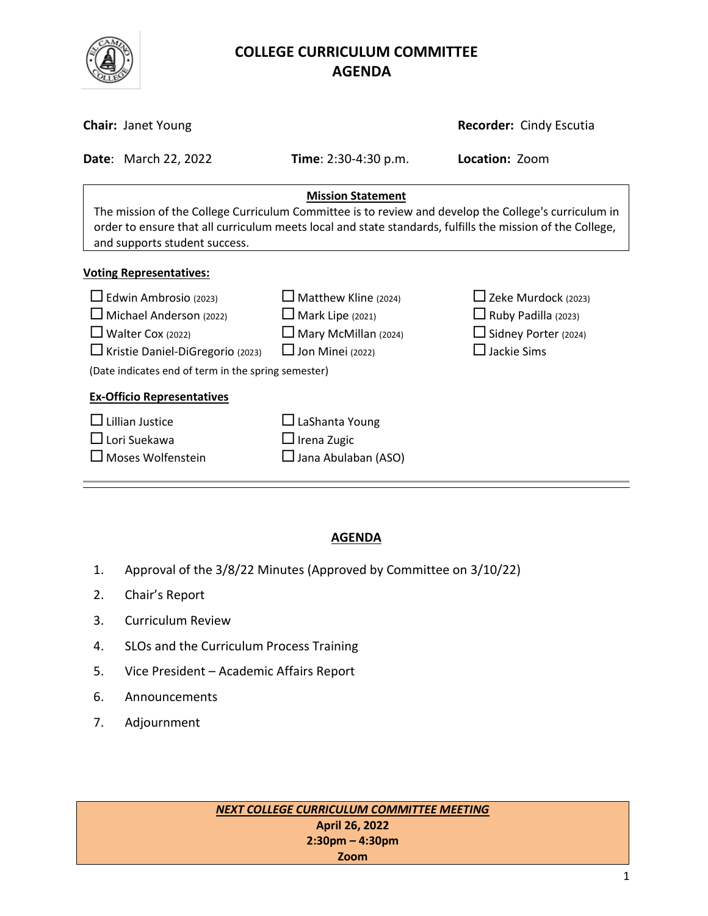

# **COLLEGE CURRICULUM COMMITTEE** **AGENDA**

| <b>Chair: Janet Young</b>                                                                                                                                                                                                                                                      |                                                                                                                  | <b>Recorder: Cindy Escutia</b>                                                                                |  |
|--------------------------------------------------------------------------------------------------------------------------------------------------------------------------------------------------------------------------------------------------------------------------------|------------------------------------------------------------------------------------------------------------------|---------------------------------------------------------------------------------------------------------------|--|
| <b>Date: March 22, 2022</b>                                                                                                                                                                                                                                                    | <b>Time</b> : $2:30-4:30$ p.m.                                                                                   | Location: Zoom                                                                                                |  |
| <b>Mission Statement</b><br>The mission of the College Curriculum Committee is to review and develop the College's curriculum in<br>order to ensure that all curriculum meets local and state standards, fulfills the mission of the College,<br>and supports student success. |                                                                                                                  |                                                                                                               |  |
| <b>Voting Representatives:</b>                                                                                                                                                                                                                                                 |                                                                                                                  |                                                                                                               |  |
| $\Box$ Edwin Ambrosio (2023)<br>$\Box$ Michael Anderson (2022)<br>$\Box$ Walter Cox (2022)<br>□ Kristie Daniel-DiGregorio (2023)<br>(Date indicates end of term in the spring semester)                                                                                        | $\Box$ Matthew Kline (2024)<br>$\Box$ Mark Lipe (2021)<br>$\Box$ Mary McMillan (2024)<br>$\Box$ Jon Minei (2022) | $\Box$ Zeke Murdock (2023)<br>$\Box$ Ruby Padilla (2023)<br>$\Box$ Sidney Porter (2024)<br>$\Box$ Jackie Sims |  |
| <b>Ex-Officio Representatives</b>                                                                                                                                                                                                                                              |                                                                                                                  |                                                                                                               |  |
| Lillian Justice<br>$\Box$ Lori Suekawa<br>$\Box$ Moses Wolfenstein                                                                                                                                                                                                             | $\Box$ LaShanta Young<br>$\Box$ Irena Zugic<br>Jana Abulaban (ASO)                                               |                                                                                                               |  |

## **AGENDA**

- 1. Approval of the 3/8/22 Minutes (Approved by Committee on 3/10/22)
- 2. Chair's Report
- 3. Curriculum Review
- 4. SLOs and the Curriculum Process Training
- 5. Vice President Academic Affairs Report
- 6. Announcements
- 7. Adjournment

*NEXT COLLEGE CURRICULUM COMMITTEE MEETING* **April 26, 2022 2:30pm – 4:30pm Zoom**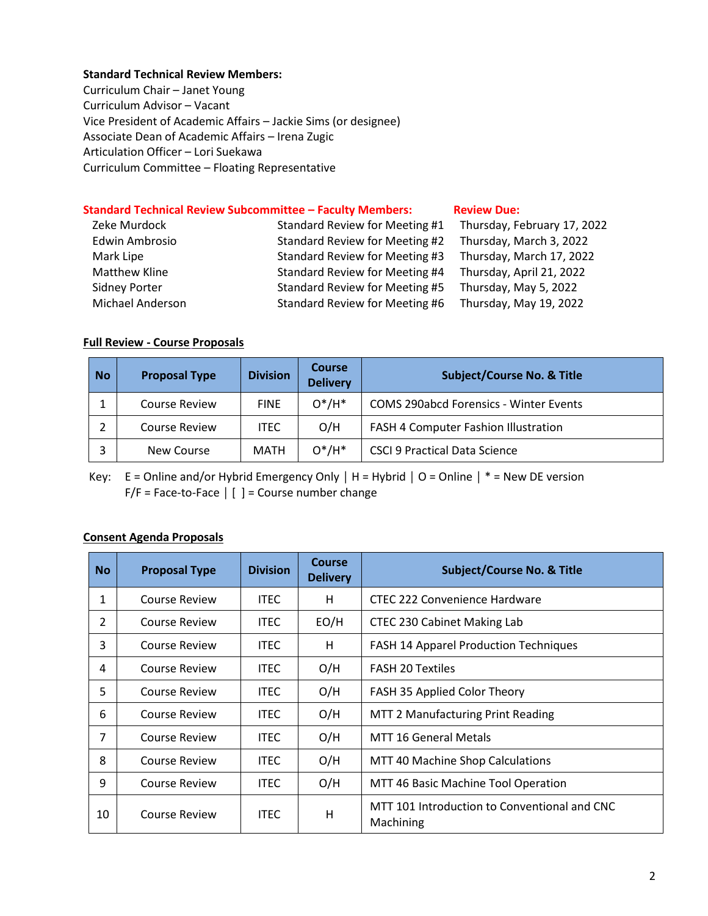#### **Standard Technical Review Members:**

Curriculum Chair – Janet Young Curriculum Advisor – Vacant Vice President of Academic Affairs – Jackie Sims (or designee) Associate Dean of Academic Affairs – Irena Zugic Articulation Officer – Lori Suekawa Curriculum Committee – Floating Representative

#### **Standard Technical Review Subcommittee – Faculty Members: [Review](http://www.curricunet.com/elcamino/documents/Spring%202016%20CCC%20Timeline.pdf) Due:**

| Zeke Murdock            | Standard Review for Meeting #1 | Thursday, February 17, 2022 |
|-------------------------|--------------------------------|-----------------------------|
| Edwin Ambrosio          | Standard Review for Meeting #2 | Thursday, March 3, 2022     |
| Mark Lipe               | Standard Review for Meeting #3 | Thursday, March 17, 2022    |
| Matthew Kline           | Standard Review for Meeting #4 | Thursday, April 21, 2022    |
| <b>Sidney Porter</b>    | Standard Review for Meeting #5 | Thursday, May 5, 2022       |
| <b>Michael Anderson</b> | Standard Review for Meeting #6 | Thursday, May 19, 2022      |

### **Full Review - Course Proposals**

| <b>No</b> | <b>Proposal Type</b> | <b>Division</b> | <b>Course</b><br><b>Delivery</b> | <b>Subject/Course No. &amp; Title</b>         |
|-----------|----------------------|-----------------|----------------------------------|-----------------------------------------------|
|           | <b>Course Review</b> | <b>FINE</b>     | $O^*/H^*$                        | <b>COMS 290abcd Forensics - Winter Events</b> |
|           | <b>Course Review</b> | <b>ITEC</b>     | O/H                              | FASH 4 Computer Fashion Illustration          |
|           | New Course           | <b>MATH</b>     | $O^*/H^*$                        | <b>CSCI 9 Practical Data Science</b>          |

Key: E = Online and/or Hybrid Emergency Only **│** H = Hybrid **│** O = Online **│** \* = New DE version F/F = Face-to-Face **│** [ ] = Course number change

#### **Consent Agenda Proposals**

| <b>No</b> | <b>Proposal Type</b> | <b>Division</b> | Course<br><b>Delivery</b> | <b>Subject/Course No. &amp; Title</b>                     |
|-----------|----------------------|-----------------|---------------------------|-----------------------------------------------------------|
| 1         | Course Review        | ITEC.           | H                         | CTEC 222 Convenience Hardware                             |
| 2         | Course Review        | ITEC.           | EO/H                      | <b>CTEC 230 Cabinet Making Lab</b>                        |
| 3         | Course Review        | <b>ITEC</b>     | H                         | FASH 14 Apparel Production Techniques                     |
| 4         | Course Review        | ITEC.           | O/H                       | <b>FASH 20 Textiles</b>                                   |
| 5         | Course Review        | ITEC.           | O/H                       | FASH 35 Applied Color Theory                              |
| 6         | Course Review        | <b>ITEC</b>     | O/H                       | <b>MTT 2 Manufacturing Print Reading</b>                  |
| 7         | Course Review        | <b>ITEC</b>     | O/H                       | <b>MTT 16 General Metals</b>                              |
| 8         | Course Review        | <b>ITEC</b>     | O/H                       | MTT 40 Machine Shop Calculations                          |
| 9         | Course Review        | <b>ITEC</b>     | O/H                       | MTT 46 Basic Machine Tool Operation                       |
| 10        | Course Review        | <b>ITEC</b>     | H                         | MTT 101 Introduction to Conventional and CNC<br>Machining |